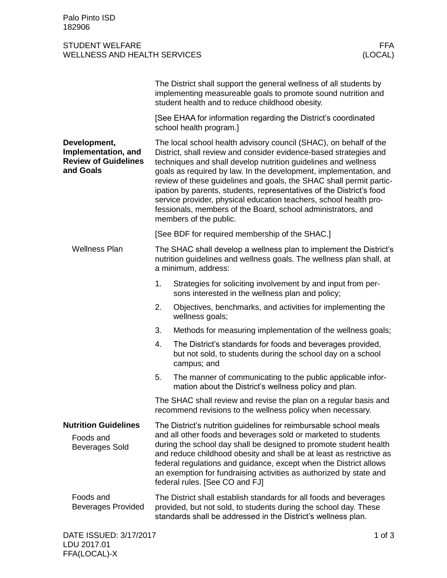## STUDENT WELFARE FFA WELLNESS AND HEALTH SERVICES

|                                                                                 |                                                                                                                                                                                                                                                                                                                                                                                                                                                                                                                                                                                             | The District shall support the general wellness of all students by<br>implementing measureable goals to promote sound nutrition and<br>student health and to reduce childhood obesity. |          |
|---------------------------------------------------------------------------------|---------------------------------------------------------------------------------------------------------------------------------------------------------------------------------------------------------------------------------------------------------------------------------------------------------------------------------------------------------------------------------------------------------------------------------------------------------------------------------------------------------------------------------------------------------------------------------------------|----------------------------------------------------------------------------------------------------------------------------------------------------------------------------------------|----------|
|                                                                                 | [See EHAA for information regarding the District's coordinated<br>school health program.]                                                                                                                                                                                                                                                                                                                                                                                                                                                                                                   |                                                                                                                                                                                        |          |
| Development,<br>Implementation, and<br><b>Review of Guidelines</b><br>and Goals | The local school health advisory council (SHAC), on behalf of the<br>District, shall review and consider evidence-based strategies and<br>techniques and shall develop nutrition guidelines and wellness<br>goals as required by law. In the development, implementation, and<br>review of these guidelines and goals, the SHAC shall permit partic-<br>ipation by parents, students, representatives of the District's food<br>service provider, physical education teachers, school health pro-<br>fessionals, members of the Board, school administrators, and<br>members of the public. |                                                                                                                                                                                        |          |
|                                                                                 | [See BDF for required membership of the SHAC.]                                                                                                                                                                                                                                                                                                                                                                                                                                                                                                                                              |                                                                                                                                                                                        |          |
| <b>Wellness Plan</b>                                                            | The SHAC shall develop a wellness plan to implement the District's<br>nutrition guidelines and wellness goals. The wellness plan shall, at<br>a minimum, address:                                                                                                                                                                                                                                                                                                                                                                                                                           |                                                                                                                                                                                        |          |
|                                                                                 | 1.                                                                                                                                                                                                                                                                                                                                                                                                                                                                                                                                                                                          | Strategies for soliciting involvement by and input from per-<br>sons interested in the wellness plan and policy;                                                                       |          |
|                                                                                 | 2.                                                                                                                                                                                                                                                                                                                                                                                                                                                                                                                                                                                          | Objectives, benchmarks, and activities for implementing the<br>wellness goals;                                                                                                         |          |
|                                                                                 | 3.                                                                                                                                                                                                                                                                                                                                                                                                                                                                                                                                                                                          | Methods for measuring implementation of the wellness goals;                                                                                                                            |          |
|                                                                                 | 4.                                                                                                                                                                                                                                                                                                                                                                                                                                                                                                                                                                                          | The District's standards for foods and beverages provided,<br>but not sold, to students during the school day on a school<br>campus; and                                               |          |
|                                                                                 | 5.                                                                                                                                                                                                                                                                                                                                                                                                                                                                                                                                                                                          | The manner of communicating to the public applicable infor-<br>mation about the District's wellness policy and plan.                                                                   |          |
|                                                                                 | The SHAC shall review and revise the plan on a regular basis and<br>recommend revisions to the wellness policy when necessary.                                                                                                                                                                                                                                                                                                                                                                                                                                                              |                                                                                                                                                                                        |          |
| <b>Nutrition Guidelines</b><br>Foods and<br><b>Beverages Sold</b>               | The District's nutrition guidelines for reimbursable school meals<br>and all other foods and beverages sold or marketed to students<br>during the school day shall be designed to promote student health<br>and reduce childhood obesity and shall be at least as restrictive as<br>federal regulations and guidance, except when the District allows<br>an exemption for fundraising activities as authorized by state and<br>federal rules. [See CO and FJ]                                                                                                                               |                                                                                                                                                                                        |          |
| Foods and<br><b>Beverages Provided</b>                                          | The District shall establish standards for all foods and beverages<br>provided, but not sold, to students during the school day. These<br>standards shall be addressed in the District's wellness plan.                                                                                                                                                                                                                                                                                                                                                                                     |                                                                                                                                                                                        |          |
| DATE ISSUED: 3/17/2017                                                          |                                                                                                                                                                                                                                                                                                                                                                                                                                                                                                                                                                                             |                                                                                                                                                                                        | 1 of $3$ |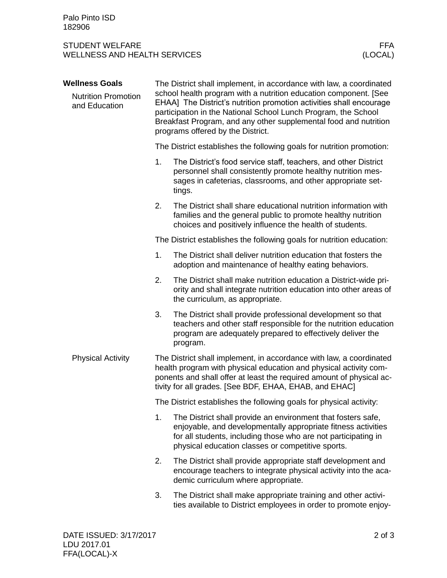## STUDENT WELFARE FRAME AND STUDENT WELFARE FRAME. WELLNESS AND HEALTH SERVICES (LOCAL)

## **Wellness Goals**

Nutrition Promotion and Education

The District shall implement, in accordance with law, a coordinated school health program with a nutrition education component. [See EHAA] The District's nutrition promotion activities shall encourage participation in the National School Lunch Program, the School Breakfast Program, and any other supplemental food and nutrition programs offered by the District.

The District establishes the following goals for nutrition promotion:

- 1. The District's food service staff, teachers, and other District personnel shall consistently promote healthy nutrition messages in cafeterias, classrooms, and other appropriate settings.
- 2. The District shall share educational nutrition information with families and the general public to promote healthy nutrition choices and positively influence the health of students.

The District establishes the following goals for nutrition education:

- 1. The District shall deliver nutrition education that fosters the adoption and maintenance of healthy eating behaviors.
- 2. The District shall make nutrition education a District-wide priority and shall integrate nutrition education into other areas of the curriculum, as appropriate.
- 3. The District shall provide professional development so that teachers and other staff responsible for the nutrition education program are adequately prepared to effectively deliver the program.
- The District shall implement, in accordance with law, a coordinated health program with physical education and physical activity components and shall offer at least the required amount of physical activity for all grades. [See BDF, EHAA, EHAB, and EHAC] Physical Activity

The District establishes the following goals for physical activity:

- 1. The District shall provide an environment that fosters safe, enjoyable, and developmentally appropriate fitness activities for all students, including those who are not participating in physical education classes or competitive sports.
- 2. The District shall provide appropriate staff development and encourage teachers to integrate physical activity into the academic curriculum where appropriate.
- 3. The District shall make appropriate training and other activities available to District employees in order to promote enjoy-